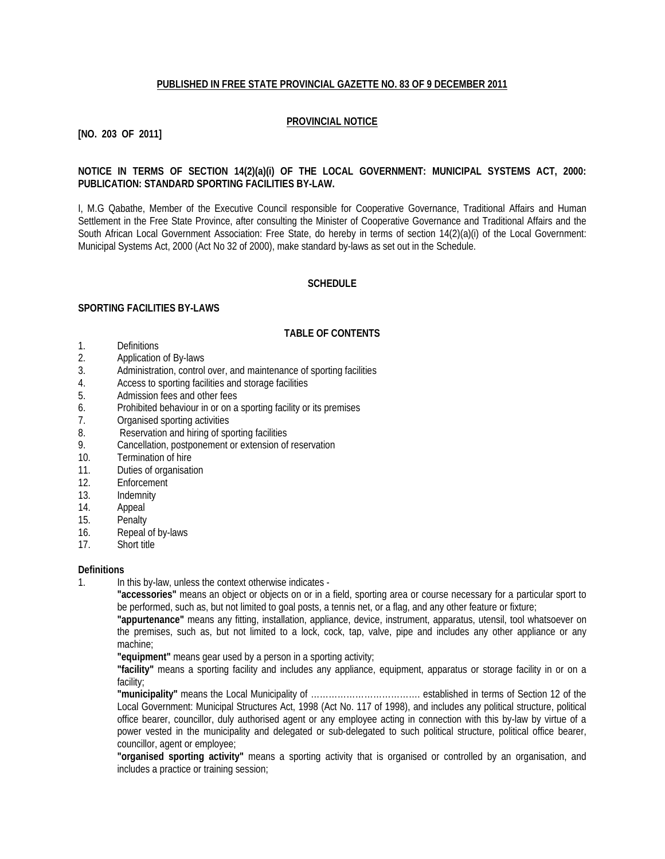## **PUBLISHED IN FREE STATE PROVINCIAL GAZETTE NO. 83 OF 9 DECEMBER 2011**

## **PROVINCIAL NOTICE**

## **[NO. 203 OF 2011]**

## **NOTICE IN TERMS OF SECTION 14(2)(a)(i) OF THE LOCAL GOVERNMENT: MUNICIPAL SYSTEMS ACT, 2000: PUBLICATION: STANDARD SPORTING FACILITIES BY-LAW.**

I, M.G Qabathe, Member of the Executive Council responsible for Cooperative Governance, Traditional Affairs and Human Settlement in the Free State Province, after consulting the Minister of Cooperative Governance and Traditional Affairs and the South African Local Government Association: Free State, do hereby in terms of section 14(2)(a)(i) of the Local Government: Municipal Systems Act, 2000 (Act No 32 of 2000), make standard by-laws as set out in the Schedule.

## **SCHEDULE**

## **SPORTING FACILITIES BY-LAWS**

## **TABLE OF CONTENTS**

- 1. Definitions
- 2. Application of By-laws
- 3. Administration, control over, and maintenance of sporting facilities
- 4. Access to sporting facilities and storage facilities
- 5. Admission fees and other fees
- 6. Prohibited behaviour in or on a sporting facility or its premises
- 7. Organised sporting activities
- 8. Reservation and hiring of sporting facilities
- 9. Cancellation, postponement or extension of reservation
- 10. Termination of hire
- 11. Duties of organisation
- 12. Enforcement
- 13. Indemnity<br>14. Appeal
- 14. Appeal<br>15. Penalty
- Penalty
- 16. Repeal of by-laws
- 17. Short title

#### **Definitions**

1. In this by-law, unless the context otherwise indicates -

**"accessories"** means an object or objects on or in a field, sporting area or course necessary for a particular sport to be performed, such as, but not limited to goal posts, a tennis net, or a flag, and any other feature or fixture;

**"appurtenance"** means any fitting, installation, appliance, device, instrument, apparatus, utensil, tool whatsoever on the premises, such as, but not limited to a lock, cock, tap, valve, pipe and includes any other appliance or any machine;

**"equipment"** means gear used by a person in a sporting activity;

**"facility"** means a sporting facility and includes any appliance, equipment, apparatus or storage facility in or on a facility;

**"municipality"** means the Local Municipality of ………………………………. established in terms of Section 12 of the Local Government: Municipal Structures Act, 1998 (Act No. 117 of 1998), and includes any political structure, political office bearer, councillor, duly authorised agent or any employee acting in connection with this by-law by virtue of a power vested in the municipality and delegated or sub-delegated to such political structure, political office bearer, councillor, agent or employee;

**"organised sporting activity"** means a sporting activity that is organised or controlled by an organisation, and includes a practice or training session;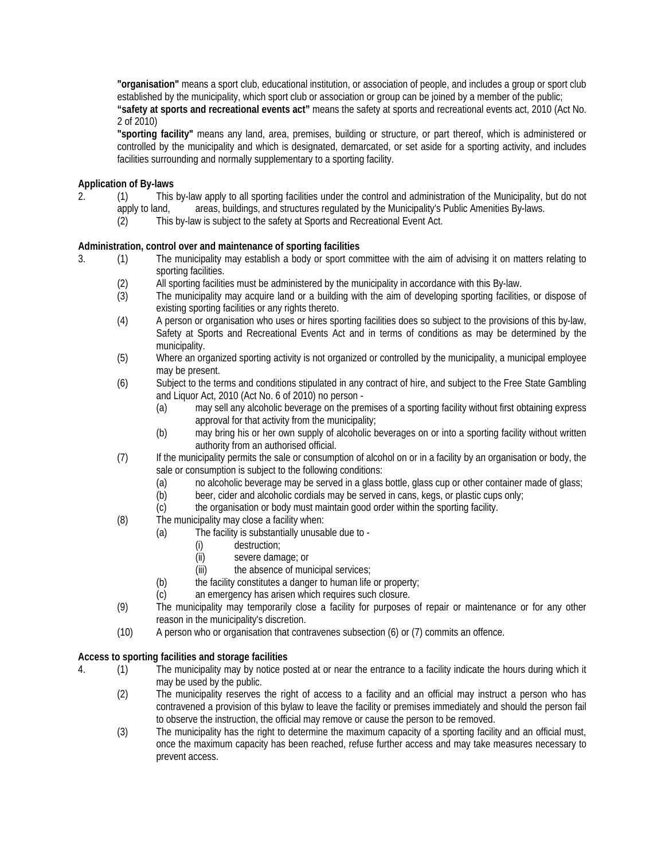**"organisation"** means a sport club, educational institution, or association of people, and includes a group or sport club established by the municipality, which sport club or association or group can be joined by a member of the public;

**"safety at sports and recreational events act"** means the safety at sports and recreational events act, 2010 (Act No. 2 of 2010)

**"sporting facility"** means any land, area, premises, building or structure, or part thereof, which is administered or controlled by the municipality and which is designated, demarcated, or set aside for a sporting activity, and includes facilities surrounding and normally supplementary to a sporting facility.

## **Application of By-laws**

- 2. (1) This by-law apply to all sporting facilities under the control and administration of the Municipality, but do not apply to land, areas, buildings, and structures regulated by the Municipality's Public Amenities By-laws.
	- (2) This by-law is subject to the safety at Sports and Recreational Event Act.

## **Administration, control over and maintenance of sporting facilities**

- 3. (1) The municipality may establish a body or sport committee with the aim of advising it on matters relating to sporting facilities.
	- (2) All sporting facilities must be administered by the municipality in accordance with this By-law.
	- (3) The municipality may acquire land or a building with the aim of developing sporting facilities, or dispose of existing sporting facilities or any rights thereto.
	- (4) A person or organisation who uses or hires sporting facilities does so subject to the provisions of this by-law, Safety at Sports and Recreational Events Act and in terms of conditions as may be determined by the municipality.
	- (5) Where an organized sporting activity is not organized or controlled by the municipality, a municipal employee may be present.
	- (6) Subject to the terms and conditions stipulated in any contract of hire, and subject to the Free State Gambling and Liquor Act, 2010 (Act No. 6 of 2010) no person -
		- (a) may sell any alcoholic beverage on the premises of a sporting facility without first obtaining express approval for that activity from the municipality;
		- (b) may bring his or her own supply of alcoholic beverages on or into a sporting facility without written authority from an authorised official.
	- (7) If the municipality permits the sale or consumption of alcohol on or in a facility by an organisation or body, the sale or consumption is subject to the following conditions:
		- (a) no alcoholic beverage may be served in a glass bottle, glass cup or other container made of glass;
		- (b) beer, cider and alcoholic cordials may be served in cans, kegs, or plastic cups only;
		- (c) the organisation or body must maintain good order within the sporting facility.
	- (8) The municipality may close a facility when:
		- (a) The facility is substantially unusable due to
			- (i) destruction;
			- (ii) severe damage; or
			- (iii) the absence of municipal services;
			- (b) the facility constitutes a danger to human life or property;
			- (c) an emergency has arisen which requires such closure.
	- (9) The municipality may temporarily close a facility for purposes of repair or maintenance or for any other reason in the municipality's discretion.
	- (10) A person who or organisation that contravenes subsection (6) or (7) commits an offence.

## **Access to sporting facilities and storage facilities**

- 4. (1) The municipality may by notice posted at or near the entrance to a facility indicate the hours during which it may be used by the public.
	- (2) The municipality reserves the right of access to a facility and an official may instruct a person who has contravened a provision of this bylaw to leave the facility or premises immediately and should the person fail to observe the instruction, the official may remove or cause the person to be removed.
	- (3) The municipality has the right to determine the maximum capacity of a sporting facility and an official must, once the maximum capacity has been reached, refuse further access and may take measures necessary to prevent access.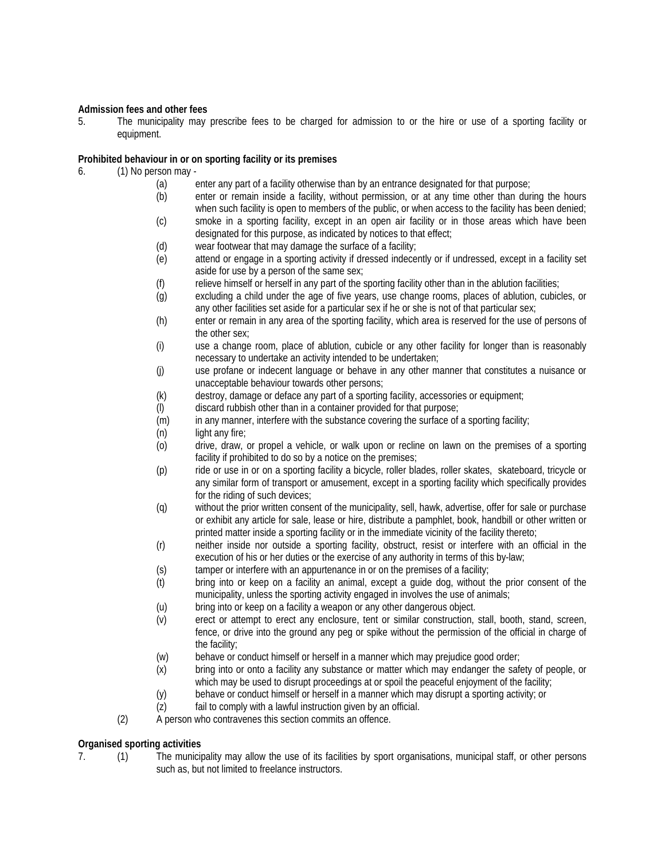## **Admission fees and other fees**

5. The municipality may prescribe fees to be charged for admission to or the hire or use of a sporting facility or equipment.

## **Prohibited behaviour in or on sporting facility or its premises**

- 6. (1) No person may
	- (a) enter any part of a facility otherwise than by an entrance designated for that purpose;
	- (b) enter or remain inside a facility, without permission, or at any time other than during the hours when such facility is open to members of the public, or when access to the facility has been denied;
	- (c) smoke in a sporting facility, except in an open air facility or in those areas which have been designated for this purpose, as indicated by notices to that effect;
	- (d) wear footwear that may damage the surface of a facility;<br>(e) attend or engage in a sporting activity if dressed indece
	- attend or engage in a sporting activity if dressed indecently or if undressed, except in a facility set aside for use by a person of the same sex;
	- (f) relieve himself or herself in any part of the sporting facility other than in the ablution facilities;
	- (g) excluding a child under the age of five years, use change rooms, places of ablution, cubicles, or any other facilities set aside for a particular sex if he or she is not of that particular sex;
	- (h) enter or remain in any area of the sporting facility, which area is reserved for the use of persons of the other sex;
	- (i) use a change room, place of ablution, cubicle or any other facility for longer than is reasonably necessary to undertake an activity intended to be undertaken;
	- (j) use profane or indecent language or behave in any other manner that constitutes a nuisance or unacceptable behaviour towards other persons;
	- (k) destroy, damage or deface any part of a sporting facility, accessories or equipment;
	- (l) discard rubbish other than in a container provided for that purpose;
	- (m) in any manner, interfere with the substance covering the surface of a sporting facility;
	- (n) light any fire;
	- (o) drive, draw, or propel a vehicle, or walk upon or recline on lawn on the premises of a sporting facility if prohibited to do so by a notice on the premises;
	- (p) ride or use in or on a sporting facility a bicycle, roller blades, roller skates, skateboard, tricycle or any similar form of transport or amusement, except in a sporting facility which specifically provides for the riding of such devices;
	- (q) without the prior written consent of the municipality, sell, hawk, advertise, offer for sale or purchase or exhibit any article for sale, lease or hire, distribute a pamphlet, book, handbill or other written or printed matter inside a sporting facility or in the immediate vicinity of the facility thereto;
	- (r) neither inside nor outside a sporting facility, obstruct, resist or interfere with an official in the execution of his or her duties or the exercise of any authority in terms of this by-law;
	- (s) tamper or interfere with an appurtenance in or on the premises of a facility;
	- (t) bring into or keep on a facility an animal, except a guide dog, without the prior consent of the municipality, unless the sporting activity engaged in involves the use of animals;
	- (u) bring into or keep on a facility a weapon or any other dangerous object.
	- (v) erect or attempt to erect any enclosure, tent or similar construction, stall, booth, stand, screen, fence, or drive into the ground any peg or spike without the permission of the official in charge of the facility;
	- (w) behave or conduct himself or herself in a manner which may prejudice good order;
	- (x) bring into or onto a facility any substance or matter which may endanger the safety of people, or which may be used to disrupt proceedings at or spoil the peaceful enjoyment of the facility;
	- (y) behave or conduct himself or herself in a manner which may disrupt a sporting activity; or
	- (z) fail to comply with a lawful instruction given by an official.
	- (2) A person who contravenes this section commits an offence.

## **Organised sporting activities**

7. (1) The municipality may allow the use of its facilities by sport organisations, municipal staff, or other persons such as, but not limited to freelance instructors.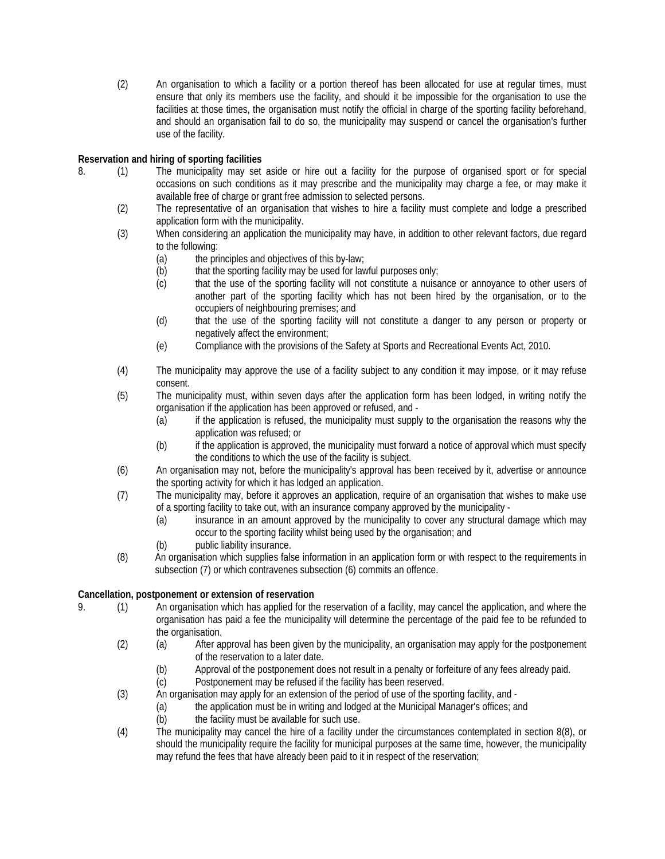(2) An organisation to which a facility or a portion thereof has been allocated for use at regular times, must ensure that only its members use the facility, and should it be impossible for the organisation to use the facilities at those times, the organisation must notify the official in charge of the sporting facility beforehand, and should an organisation fail to do so, the municipality may suspend or cancel the organisation's further use of the facility.

## **Reservation and hiring of sporting facilities**

- 8. (1) The municipality may set aside or hire out a facility for the purpose of organised sport or for special occasions on such conditions as it may prescribe and the municipality may charge a fee, or may make it available free of charge or grant free admission to selected persons.
	- (2) The representative of an organisation that wishes to hire a facility must complete and lodge a prescribed application form with the municipality.
	- (3) When considering an application the municipality may have, in addition to other relevant factors, due regard to the following:
		- (a) the principles and objectives of this by-law;
		- (b) that the sporting facility may be used for lawful purposes only;
		- (c) that the use of the sporting facility will not constitute a nuisance or annoyance to other users of another part of the sporting facility which has not been hired by the organisation, or to the occupiers of neighbouring premises; and
		- (d) that the use of the sporting facility will not constitute a danger to any person or property or negatively affect the environment;
		- (e) Compliance with the provisions of the Safety at Sports and Recreational Events Act, 2010.
	- (4) The municipality may approve the use of a facility subject to any condition it may impose, or it may refuse consent.
	- (5) The municipality must, within seven days after the application form has been lodged, in writing notify the organisation if the application has been approved or refused, and -
		- (a) if the application is refused, the municipality must supply to the organisation the reasons why the application was refused; or
		- (b) if the application is approved, the municipality must forward a notice of approval which must specify the conditions to which the use of the facility is subject.
	- (6) An organisation may not, before the municipality's approval has been received by it, advertise or announce the sporting activity for which it has lodged an application.
	- (7) The municipality may, before it approves an application, require of an organisation that wishes to make use of a sporting facility to take out, with an insurance company approved by the municipality -
		- (a) insurance in an amount approved by the municipality to cover any structural damage which may occur to the sporting facility whilst being used by the organisation; and
		- (b) public liability insurance.
	- (8) An organisation which supplies false information in an application form or with respect to the requirements in subsection (7) or which contravenes subsection (6) commits an offence.

## **Cancellation, postponement or extension of reservation**

- 9. (1) An organisation which has applied for the reservation of a facility, may cancel the application, and where the organisation has paid a fee the municipality will determine the percentage of the paid fee to be refunded to the organisation.
	- (2) (a) After approval has been given by the municipality, an organisation may apply for the postponement of the reservation to a later date.
		- (b) Approval of the postponement does not result in a penalty or forfeiture of any fees already paid.
		- (c) Postponement may be refused if the facility has been reserved.
	- (3) An organisation may apply for an extension of the period of use of the sporting facility, and
		- (a) the application must be in writing and lodged at the Municipal Manager's offices; and
		- (b) the facility must be available for such use.
	- (4) The municipality may cancel the hire of a facility under the circumstances contemplated in section 8(8), or should the municipality require the facility for municipal purposes at the same time, however, the municipality may refund the fees that have already been paid to it in respect of the reservation;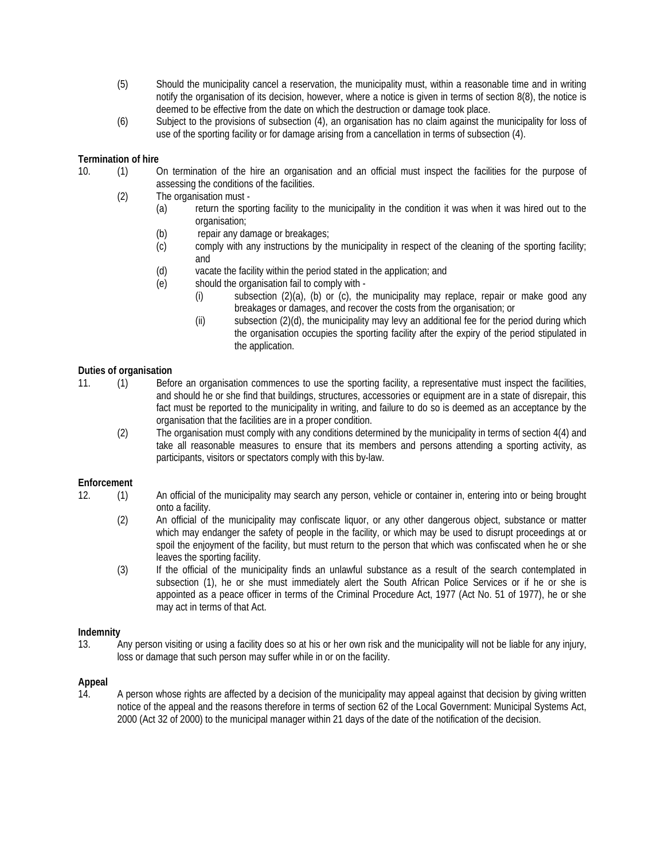- (5) Should the municipality cancel a reservation, the municipality must, within a reasonable time and in writing notify the organisation of its decision, however, where a notice is given in terms of section 8(8), the notice is deemed to be effective from the date on which the destruction or damage took place.
- (6) Subject to the provisions of subsection (4), an organisation has no claim against the municipality for loss of use of the sporting facility or for damage arising from a cancellation in terms of subsection (4).

## **Termination of hire**

- 10. (1) On termination of the hire an organisation and an official must inspect the facilities for the purpose of assessing the conditions of the facilities.
	- (2) The organisation must
		- (a) return the sporting facility to the municipality in the condition it was when it was hired out to the organisation;
		- (b) repair any damage or breakages;
		- (c) comply with any instructions by the municipality in respect of the cleaning of the sporting facility; and
		- (d) vacate the facility within the period stated in the application; and
		- (e) should the organisation fail to comply with
			- (i) subsection (2)(a), (b) or (c), the municipality may replace, repair or make good any breakages or damages, and recover the costs from the organisation; or
			- (ii) subsection (2)(d), the municipality may levy an additional fee for the period during which the organisation occupies the sporting facility after the expiry of the period stipulated in the application.

## **Duties of organisation**

- 11. (1) Before an organisation commences to use the sporting facility, a representative must inspect the facilities, and should he or she find that buildings, structures, accessories or equipment are in a state of disrepair, this fact must be reported to the municipality in writing, and failure to do so is deemed as an acceptance by the organisation that the facilities are in a proper condition.
	- (2) The organisation must comply with any conditions determined by the municipality in terms of section 4(4) and take all reasonable measures to ensure that its members and persons attending a sporting activity, as participants, visitors or spectators comply with this by-law.

## **Enforcement**

- 12. (1) An official of the municipality may search any person, vehicle or container in, entering into or being brought onto a facility.
	- (2) An official of the municipality may confiscate liquor, or any other dangerous object, substance or matter which may endanger the safety of people in the facility, or which may be used to disrupt proceedings at or spoil the enjoyment of the facility, but must return to the person that which was confiscated when he or she leaves the sporting facility.
	- (3) If the official of the municipality finds an unlawful substance as a result of the search contemplated in subsection (1), he or she must immediately alert the South African Police Services or if he or she is appointed as a peace officer in terms of the Criminal Procedure Act, 1977 (Act No. 51 of 1977), he or she may act in terms of that Act.

## **Indemnity**

13. Any person visiting or using a facility does so at his or her own risk and the municipality will not be liable for any injury, loss or damage that such person may suffer while in or on the facility.

## **Appeal**

14. A person whose rights are affected by a decision of the municipality may appeal against that decision by giving written notice of the appeal and the reasons therefore in terms of section 62 of the Local Government: Municipal Systems Act, 2000 (Act 32 of 2000) to the municipal manager within 21 days of the date of the notification of the decision.